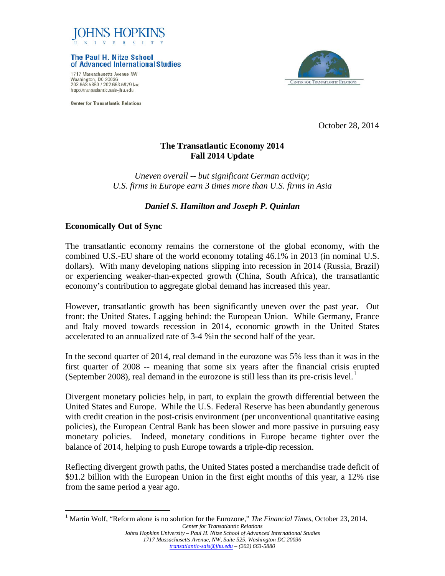

The Paul H. Nitze School of Advanced International Studies

1717 Massachusetts Avenue NW Washington, DC 20036 202.663.5880 / 202.663.5879 fax http://transatlantic.sais-jhu.edu

**Center for Transatlantic Relations** 



October 28, 2014

# **The Transatlantic Economy 2014 Fall 2014 Update**

*Uneven overall -- but significant German activity; U.S. firms in Europe earn 3 times more than U.S. firms in Asia* 

# *Daniel S. Hamilton and Joseph P. Quinlan*

#### **Economically Out of Sync**

The transatlantic economy remains the cornerstone of the global economy, with the combined U.S.-EU share of the world economy totaling 46.1% in 2013 (in nominal U.S. dollars). With many developing nations slipping into recession in 2014 (Russia, Brazil) or experiencing weaker-than-expected growth (China, South Africa), the transatlantic economy's contribution to aggregate global demand has increased this year.

However, transatlantic growth has been significantly uneven over the past year. Out front: the United States. Lagging behind: the European Union. While Germany, France and Italy moved towards recession in 2014, economic growth in the United States accelerated to an annualized rate of 3-4 %in the second half of the year.

In the second quarter of 2014, real demand in the eurozone was 5% less than it was in the first quarter of 2008 -- meaning that some six years after the financial crisis erupted (September 2008), real demand in the eurozone is still less than its pre-crisis level.<sup>[1](#page-0-0)</sup>

Divergent monetary policies help, in part, to explain the growth differential between the United States and Europe. While the U.S. Federal Reserve has been abundantly generous with credit creation in the post-crisis environment (per unconventional quantitative easing policies), the European Central Bank has been slower and more passive in pursuing easy monetary policies. Indeed, monetary conditions in Europe became tighter over the balance of 2014, helping to push Europe towards a triple-dip recession.

Reflecting divergent growth paths, the United States posted a merchandise trade deficit of \$91.2 billion with the European Union in the first eight months of this year, a 12% rise from the same period a year ago.

<span id="page-0-0"></span>*Center for Transatlantic Relations* <sup>1</sup> Martin Wolf, "Reform alone is no solution for the Eurozone," *The Financial Times*, October 23, 2014.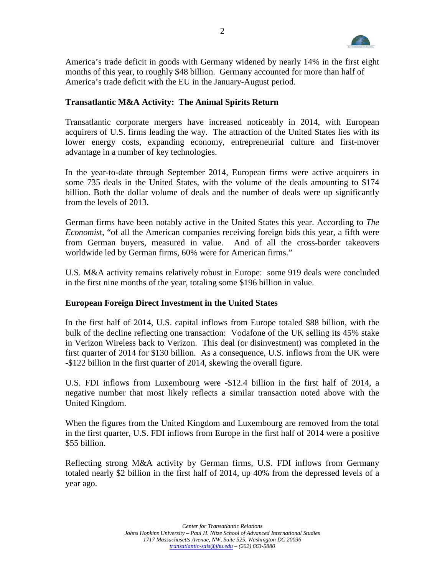

America's trade deficit in goods with Germany widened by nearly 14% in the first eight months of this year, to roughly \$48 billion. Germany accounted for more than half of America's trade deficit with the EU in the January-August period.

### **Transatlantic M&A Activity: The Animal Spirits Return**

Transatlantic corporate mergers have increased noticeably in 2014, with European acquirers of U.S. firms leading the way. The attraction of the United States lies with its lower energy costs, expanding economy, entrepreneurial culture and first-mover advantage in a number of key technologies.

In the year-to-date through September 2014, European firms were active acquirers in some 735 deals in the United States, with the volume of the deals amounting to \$174 billion. Both the dollar volume of deals and the number of deals were up significantly from the levels of 2013.

German firms have been notably active in the United States this year. According to *The Economis*t, "of all the American companies receiving foreign bids this year, a fifth were from German buyers, measured in value. And of all the cross-border takeovers worldwide led by German firms, 60% were for American firms."

U.S. M&A activity remains relatively robust in Europe: some 919 deals were concluded in the first nine months of the year, totaling some \$196 billion in value.

#### **European Foreign Direct Investment in the United States**

In the first half of 2014, U.S. capital inflows from Europe totaled \$88 billion, with the bulk of the decline reflecting one transaction: Vodafone of the UK selling its 45% stake in Verizon Wireless back to Verizon. This deal (or disinvestment) was completed in the first quarter of 2014 for \$130 billion. As a consequence, U.S. inflows from the UK were -\$122 billion in the first quarter of 2014, skewing the overall figure.

U.S. FDI inflows from Luxembourg were -\$12.4 billion in the first half of 2014, a negative number that most likely reflects a similar transaction noted above with the United Kingdom.

When the figures from the United Kingdom and Luxembourg are removed from the total in the first quarter, U.S. FDI inflows from Europe in the first half of 2014 were a positive \$55 billion.

Reflecting strong M&A activity by German firms, U.S. FDI inflows from Germany totaled nearly \$2 billion in the first half of 2014, up 40% from the depressed levels of a year ago.